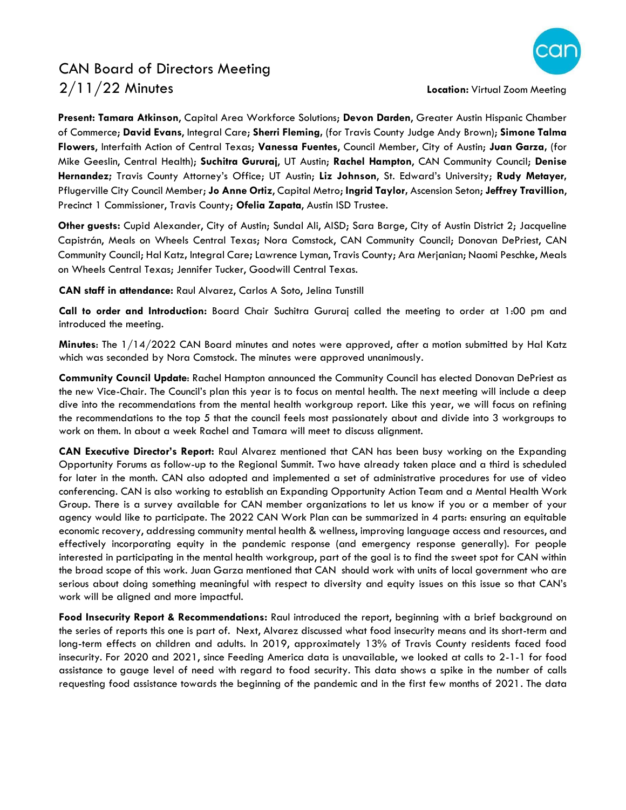## CAN Board of Directors Meeting 2/11/22 Minutes **Location:** Virtual Zoom Meeting



**Present: Tamara Atkinson**, Capital Area Workforce Solutions; **Devon Darden**, Greater Austin Hispanic Chamber of Commerce; **David Evans**, Integral Care; **Sherri Fleming,** (for Travis County Judge Andy Brown); **Simone Talma Flowers**, Interfaith Action of Central Texas; **Vanessa Fuentes**, Council Member, City of Austin; **Juan Garza,** (for Mike Geeslin, Central Health); **Suchitra Gururaj**, UT Austin; **Rachel Hampton**, CAN Community Council; **Denise Hernandez;** Travis County Attorney's Office; UT Austin; **Liz Johnson**, St. Edward's University; **Rudy Metayer,** Pflugerville City Council Member; **Jo Anne Ortiz**, Capital Metro; **Ingrid Taylor,** Ascension Seton; **Jeffrey Travillion**, Precinct 1 Commissioner, Travis County; **Ofelia Zapata**, Austin ISD Trustee.

**Other guests:** Cupid Alexander, City of Austin; Sundal Ali, AISD; Sara Barge, City of Austin District 2; Jacqueline Capistrán, Meals on Wheels Central Texas; Nora Comstock, CAN Community Council; Donovan DePriest, CAN Community Council; Hal Katz**,** Integral Care**;** Lawrence Lyman, Travis County; Ara Merjanian; Naomi Peschke, Meals on Wheels Central Texas; Jennifer Tucker, Goodwill Central Texas.

**CAN staff in attendance:** Raul Alvarez, Carlos A Soto, Jelina Tunstill

**Call to order and Introduction:** Board Chair Suchitra Gururaj called the meeting to order at 1:00 pm and introduced the meeting.

**Minutes**: The 1/14/2022 CAN Board minutes and notes were approved, after a motion submitted by Hal Katz which was seconded by Nora Comstock. The minutes were approved unanimously.

**Community Council Update**: Rachel Hampton announced the Community Council has elected Donovan DePriest as the new Vice-Chair. The Council's plan this year is to focus on mental health. The next meeting will include a deep dive into the recommendations from the mental health workgroup report. Like this year, we will focus on refining the recommendations to the top 5 that the council feels most passionately about and divide into 3 workgroups to work on them. In about a week Rachel and Tamara will meet to discuss alignment.

**CAN Executive Director's Report:** Raul Alvarez mentioned that CAN has been busy working on the Expanding Opportunity Forums as follow-up to the Regional Summit. Two have already taken place and a third is scheduled for later in the month. CAN also adopted and implemented a set of administrative procedures for use of video conferencing. CAN is also working to establish an Expanding Opportunity Action Team and a Mental Health Work Group. There is a survey available for CAN member organizations to let us know if you or a member of your agency would like to participate. The 2022 CAN Work Plan can be summarized in 4 parts: ensuring an equitable economic recovery, addressing community mental health & wellness, improving language access and resources, and effectively incorporating equity in the pandemic response (and emergency response generally). For people interested in participating in the mental health workgroup, part of the goal is to find the sweet spot for CAN within the broad scope of this work. Juan Garza mentioned that CAN should work with units of local government who are serious about doing something meaningful with respect to diversity and equity issues on this issue so that CAN's work will be aligned and more impactful.

**Food Insecurity Report & Recommendations:** Raul introduced the report, beginning with a brief background on the series of reports this one is part of. Next, Alvarez discussed what food insecurity means and its short-term and long-term effects on children and adults. In 2019, approximately 13% of Travis County residents faced food insecurity. For 2020 and 2021, since Feeding America data is unavailable, we looked at calls to 2-1-1 for food assistance to gauge level of need with regard to food security. This data shows a spike in the number of calls requesting food assistance towards the beginning of the pandemic and in the first few months of 2021. The data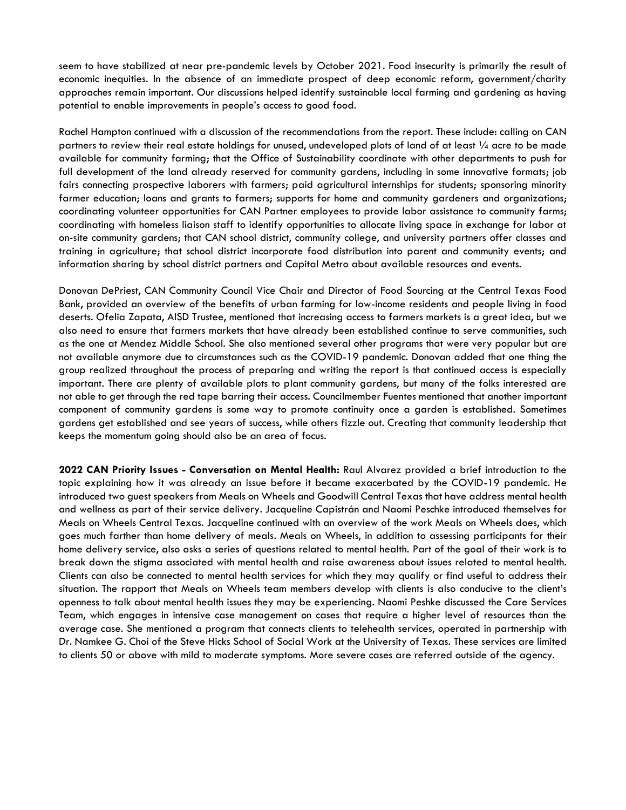seem to have stabilized at near pre-pandemic levels by October 2021. Food insecurity is primarily the result of economic inequities. In the absence of an immediate prospect of deep economic reform, government/charity approaches remain important. Our discussions helped identify sustainable local farming and gardening as having potential to enable improvements in people's access to good food.

Rachel Hampton continued with a discussion of the recommendations from the report. These include: calling on CAN partners to review their real estate holdings for unused, undeveloped plots of land of at least 1/4 acre to be made available for community farming; that the Office of Sustainability coordinate with other departments to push for full development of the land already reserved for community gardens, including in some innovative formats; job fairs connecting prospective laborers with farmers; paid agricultural internships for students; sponsoring minority farmer education; loans and grants to farmers; supports for home and community gardeners and organizations; coordinating volunteer opportunities for CAN Partner employees to provide labor assistance to community farms; coordinating with homeless liaison staff to identify opportunities to allocate living space in exchange for labor at on-site community gardens; that CAN school district, community college, and university partners offer classes and training in agriculture; that school district incorporate food distribution into parent and community events; and information sharing by school district partners and Capital Metro about available resources and events.

Donovan DePriest, CAN Community Council Vice Chair and Director of Food Sourcing at the Central Texas Food Bank, provided an overview of the benefits of urban farming for low-income residents and people living in food deserts. Ofelia Zapata, AISD Trustee, mentioned that increasing access to farmers markets is a great idea, but we also need to ensure that farmers markets that have already been established continue to serve communities, such as the one at Mendez Middle School. She also mentioned several other programs that were very popular but are not available anymore due to circumstances such as the COVID-19 pandemic. Donovan added that one thing the group realized throughout the process of preparing and writing the report is that continued access is especially important. There are plenty of available plots to plant community gardens, but many of the folks interested are not able to get through the red tape barring their access. Councilmember Fuentes mentioned that another important component of community gardens is some way to promote continuity once a garden is established. Sometimes gardens get established and see years of success, while others fizzle out. Creating that community leadership that keeps the momentum going should also be an area of focus.

**2022 CAN Priority Issues - Conversation on Mental Health:** Raul Alvarez provided a brief introduction to the topic explaining how it was already an issue before it became exacerbated by the COVID-19 pandemic. He introduced two guest speakers from Meals on Wheels and Goodwill Central Texas that have address mental health and wellness as part of their service delivery. Jacqueline Capistrán and Naomi Peschke introduced themselves for Meals on Wheels Central Texas. Jacqueline continued with an overview of the work Meals on Wheels does, which goes much farther than home delivery of meals. Meals on Wheels, in addition to assessing participants for their home delivery service, also asks a series of questions related to mental health. Part of the goal of their work is to break down the stigma associated with mental health and raise awareness about issues related to mental health. Clients can also be connected to mental health services for which they may qualify or find useful to address their situation. The rapport that Meals on Wheels team members develop with clients is also conducive to the client's openness to talk about mental health issues they may be experiencing. Naomi Peshke discussed the Care Services Team, which engages in intensive case management on cases that require a higher level of resources than the average case. She mentioned a program that connects clients to telehealth services, operated in partnership with Dr. Namkee G. Choi of the Steve Hicks School of Social Work at the University of Texas. These services are limited to clients 50 or above with mild to moderate symptoms. More severe cases are referred outside of the agency.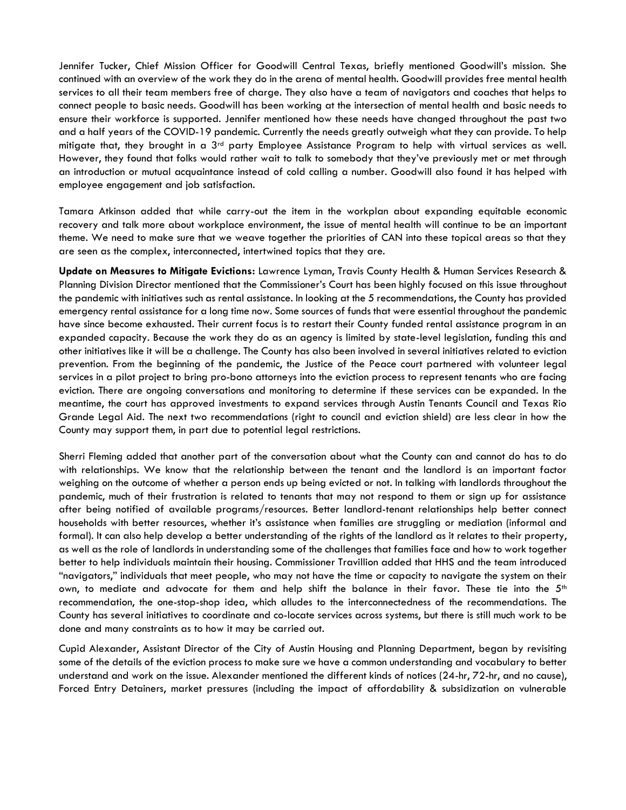Jennifer Tucker, Chief Mission Officer for Goodwill Central Texas, briefly mentioned Goodwill's mission. She continued with an overview of the work they do in the arena of mental health. Goodwill provides free mental health services to all their team members free of charge. They also have a team of navigators and coaches that helps to connect people to basic needs. Goodwill has been working at the intersection of mental health and basic needs to ensure their workforce is supported. Jennifer mentioned how these needs have changed throughout the past two and a half years of the COVID-19 pandemic. Currently the needs greatly outweigh what they can provide. To help mitigate that, they brought in a 3<sup>rd</sup> party Employee Assistance Program to help with virtual services as well. However, they found that folks would rather wait to talk to somebody that they've previously met or met through an introduction or mutual acquaintance instead of cold calling a number. Goodwill also found it has helped with employee engagement and job satisfaction.

Tamara Atkinson added that while carry-out the item in the workplan about expanding equitable economic recovery and talk more about workplace environment, the issue of mental health will continue to be an important theme. We need to make sure that we weave together the priorities of CAN into these topical areas so that they are seen as the complex, interconnected, intertwined topics that they are.

**Update on Measures to Mitigate Evictions:** Lawrence Lyman, Travis County Health & Human Services Research & Planning Division Director mentioned that the Commissioner's Court has been highly focused on this issue throughout the pandemic with initiatives such as rental assistance. In looking at the 5 recommendations, the County has provided emergency rental assistance for a long time now. Some sources of funds that were essential throughout the pandemic have since become exhausted. Their current focus is to restart their County funded rental assistance program in an expanded capacity. Because the work they do as an agency is limited by state-level legislation, funding this and other initiatives like it will be a challenge. The County has also been involved in several initiatives related to eviction prevention. From the beginning of the pandemic, the Justice of the Peace court partnered with volunteer legal services in a pilot project to bring pro-bono attorneys into the eviction process to represent tenants who are facing eviction. There are ongoing conversations and monitoring to determine if these services can be expanded. In the meantime, the court has approved investments to expand services through Austin Tenants Council and Texas Rio Grande Legal Aid. The next two recommendations (right to council and eviction shield) are less clear in how the County may support them, in part due to potential legal restrictions.

Sherri Fleming added that another part of the conversation about what the County can and cannot do has to do with relationships. We know that the relationship between the tenant and the landlord is an important factor weighing on the outcome of whether a person ends up being evicted or not. In talking with landlords throughout the pandemic, much of their frustration is related to tenants that may not respond to them or sign up for assistance after being notified of available programs/resources. Better landlord-tenant relationships help better connect households with better resources, whether it's assistance when families are struggling or mediation (informal and formal). It can also help develop a better understanding of the rights of the landlord as it relates to their property, as well as the role of landlords in understanding some of the challenges that families face and how to work together better to help individuals maintain their housing. Commissioner Travillion added that HHS and the team introduced "navigators," individuals that meet people, who may not have the time or capacity to navigate the system on their own, to mediate and advocate for them and help shift the balance in their favor. These tie into the  $5<sup>th</sup>$ recommendation, the one-stop-shop idea, which alludes to the interconnectedness of the recommendations. The County has several initiatives to coordinate and co-locate services across systems, but there is still much work to be done and many constraints as to how it may be carried out.

Cupid Alexander, Assistant Director of the City of Austin Housing and Planning Department, began by revisiting some of the details of the eviction process to make sure we have a common understanding and vocabulary to better understand and work on the issue. Alexander mentioned the different kinds of notices (24-hr, 72-hr, and no cause), Forced Entry Detainers, market pressures (including the impact of affordability & subsidization on vulnerable